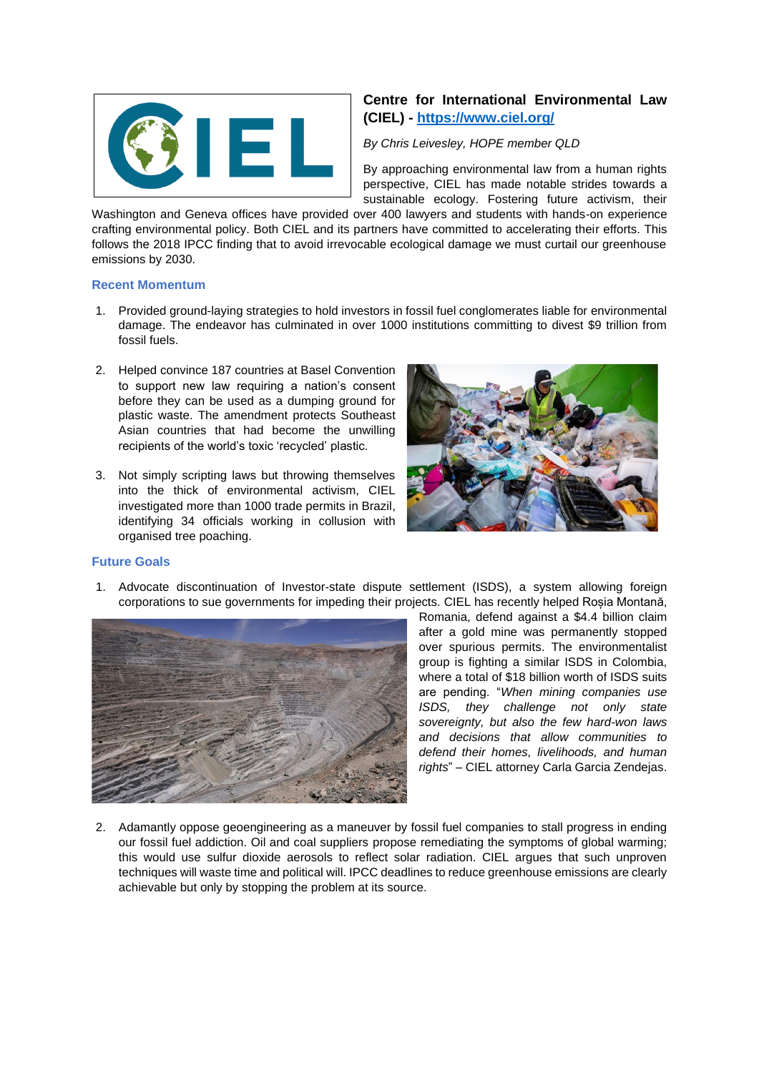

# **Centre for International Environmental Law (CIEL) - <https://www.ciel.org/>**

### *By Chris Leivesley, HOPE member QLD*

By approaching environmental law from a human rights perspective, CIEL has made notable strides towards a sustainable ecology. Fostering future activism, their

Washington and Geneva offices have provided over 400 lawyers and students with hands-on experience crafting environmental policy. Both CIEL and its partners have committed to accelerating their efforts. This follows the 2018 IPCC finding that to avoid irrevocable ecological damage we must curtail our greenhouse emissions by 2030.

#### **Recent Momentum**

- 1. Provided ground-laying strategies to hold investors in fossil fuel conglomerates liable for environmental damage. The endeavor has culminated in over 1000 institutions committing to divest \$9 trillion from fossil fuels.
- 2. Helped convince 187 countries at Basel Convention to support new law requiring a nation's consent before they can be used as a dumping ground for plastic waste. The amendment protects Southeast Asian countries that had become the unwilling recipients of the world's toxic 'recycled' plastic.
- 3. Not simply scripting laws but throwing themselves into the thick of environmental activism, CIEL investigated more than 1000 trade permits in Brazil, identifying 34 officials working in collusion with organised tree poaching.



#### **Future Goals**

1. Advocate discontinuation of Investor-state dispute settlement (ISDS), a system allowing foreign corporations to sue governments for impeding their projects. CIEL has recently helped Roșia Montană,



Romania, defend against a \$4.4 billion claim after a gold mine was permanently stopped over spurious permits. The environmentalist group is fighting a similar ISDS in Colombia, where a total of \$18 billion worth of ISDS suits are pending. "*When mining companies use ISDS, they challenge not only state sovereignty, but also the few hard-won laws and decisions that allow communities to defend their homes, livelihoods, and human rights*" – CIEL attorney Carla Garcia Zendejas.

2. Adamantly oppose geoengineering as a maneuver by fossil fuel companies to stall progress in ending our fossil fuel addiction. Oil and coal suppliers propose remediating the symptoms of global warming; this would use sulfur dioxide aerosols to reflect solar radiation. CIEL argues that such unproven techniques will waste time and political will. IPCC deadlines to reduce greenhouse emissions are clearly achievable but only by stopping the problem at its source.